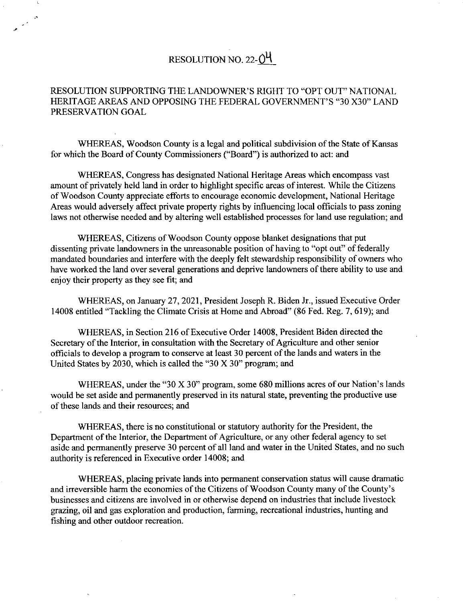## RESOLUTION NO. 22-0<sup>4</sup>

## RESOLUTION SUPPORTING THE LANDOWNER'S RIGHT TO "OPT OUT" NATIONAL HERITAGE AREAS AND OPPOSING THE FEDERAL GOVERNMENT'S "30 X30" LAND PRESERVATION GOAL

WHEREAS, Woodson County is a legal and political subdivision of the State of Kansas for which the Board of County Commissioners ("Board") is authorized to act: and

WHEREAS, Congress has designated National Heritage Areas which encompass vast amount of privately held land in order to highlight specific areas of interest. While the Citizens of Woodson County appreciate efforts to encourage economic development, National Heritage Areas would adversely affect private property rights by influencing local officials to pass zoning laws not otherwise needed and by altering well established processes for land use regulation; and

WHEREAS, Citizens of Woodson County oppose blanket designations that put dissenting private landowners in the unreasonable position of having to "opt out" of federally mandated boundaries and interfere with the deeply felt stewardship responsibility of owners who have worked the land over several generations and deprive landowners of there ability to use and enjoy their property as they see fit; and

WHEREAS, on January 27, 2021, President Joseph R. Biden Jr., issued Executive Order 14008 entitled "Tackling the Climate Crisis at Home and Abroad" (86 Fed. Reg. 7,619); and

WHEREAS, in Section 216 of Executive Order 14008, President Biden directed the Secretary of the Interior, in consultation with the Secretary of Agriculture and other senior officials to develop a program to conserve at least 30 percent of the lands and waters in the United States by 2030, which is called the "30 X 30" program; and

WHEREAS, under the "30 X 30" program, some 680 millions acres of our Nation's lands would be set aside and permanently preserved in its natural state, preventing the productive use of these lands and their resources; and

WHEREAS, there is no constitutional or statutory authority for the President, the Department of the Interior, the Department of Agriculture, or any other federal agency to set aside and permanently preserve 30 percent of all land and water in the United States, and no such authority is referenced in Executive order 14008; and

WHEREAS, placing private lands into permanent conservation status will cause dramatic and irreversible harm the economies of the Citizens of Woodson County many of the County's businesses and citizens are involved in or otherwise depend on industries that include livestock grazing, oil and gas exploration and production, farming, recreational industries, hunting and fishing and other outdoor recreation.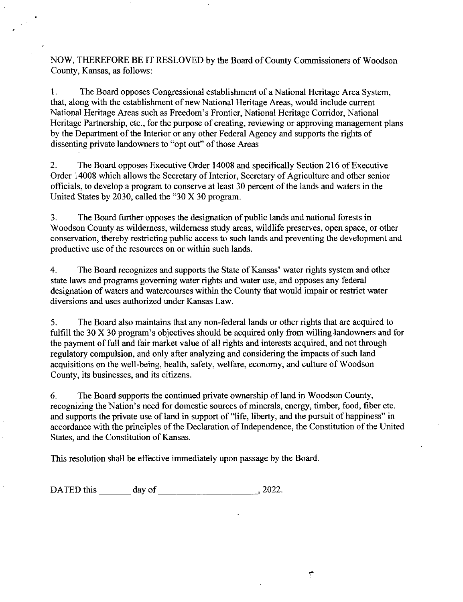NOW, THEREFORE BE IT RESLOVED by the Board of County Commissioners of Woodson County, Kansas, as follows:

The Board opposes Congressional establishment of a National Heritage Area System,  $1.$ that, along with the establishment of new National Heritage Areas, would include current National Heritage Areas such as Freedom's Frontier, National Heritage Corridor, National Heritage Partnership, etc., for the purpose of creating, reviewing or approving management plans by the Department of the Interior or any other Federal Agency and supports the rights of dissenting private landowners to "opt out" of those Areas

 $2.$ The Board opposes Executive Order 14008 and specifically Section 216 of Executive Order 14008 which allows the Secretary of Interior, Secretary of Agriculture and other senior officials, to develop a program to conserve at least 30 percent of the lands and waters in the United States by 2030, called the "30 X 30 program.

 $3.$ The Board further opposes the designation of public lands and national forests in Woodson County as wilderness, wilderness study areas, wildlife preserves, open space, or other conservation, thereby restricting public access to such lands and preventing the development and productive use of the resources on or within such lands.

 $4.$ The Board recognizes and supports the State of Kansas' water rights system and other state laws and programs governing water rights and water use, and opposes any federal designation of waters and watercourses within the County that would impair or restrict water diversions and uses authorized under Kansas Law.

5. The Board also maintains that any non-federal lands or other rights that are acquired to fulfill the 30 X 30 program's objectives should be acquired only from willing landowners and for the payment of full and fair market value of all rights and interests acquired, and not through regulatory compulsion, and only after analyzing and considering the impacts of such land acquisitions on the well-being, health, safety, welfare, economy, and culture of Woodson County, its businesses, and its citizens.

6. The Board supports the continued private ownership of land in Woodson County, recognizing the Nation's need for domestic sources of minerals, energy, timber, food, fiber etc. and supports the private use of land in support of "life, liberty, and the pursuit of happiness" in accordance with the principles of the Declaration of Independence, the Constitution of the United States, and the Constitution of Kansas.

 $\tilde{r}$ 

This resolution shall be effective immediately upon passage by the Board.

DATED this day of , 2022.